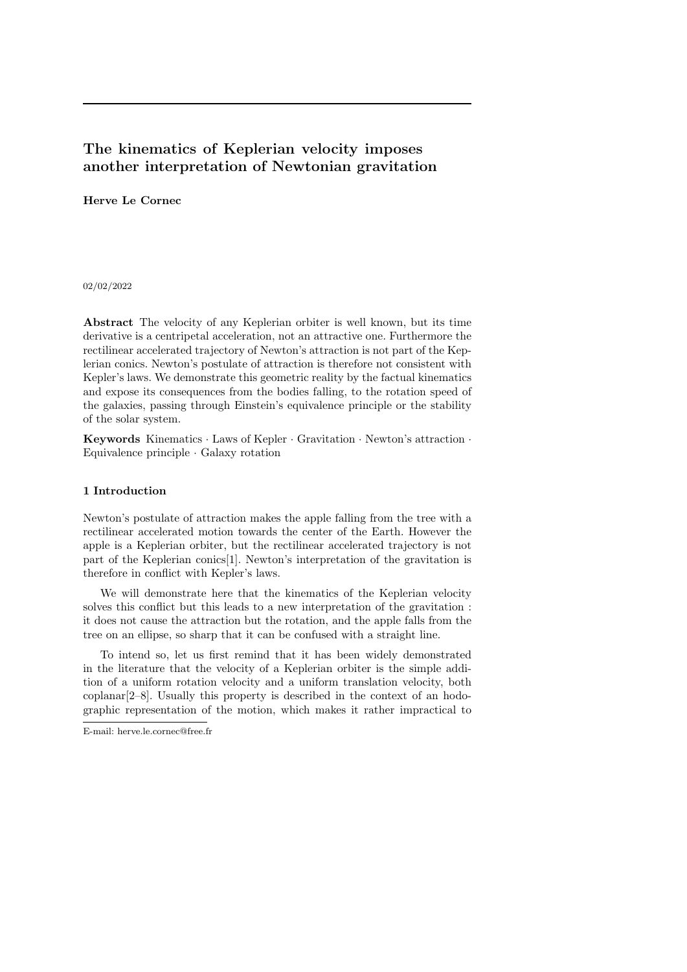# The kinematics of Keplerian velocity imposes another interpretation of Newtonian gravitation

# Herve Le Cornec

## 02/02/2022

Abstract The velocity of any Keplerian orbiter is well known, but its time derivative is a centripetal acceleration, not an attractive one. Furthermore the rectilinear accelerated trajectory of Newton's attraction is not part of the Keplerian conics. Newton's postulate of attraction is therefore not consistent with Kepler's laws. We demonstrate this geometric reality by the factual kinematics and expose its consequences from the bodies falling, to the rotation speed of the galaxies, passing through Einstein's equivalence principle or the stability of the solar system.

Keywords Kinematics · Laws of Kepler · Gravitation · Newton's attraction · Equivalence principle · Galaxy rotation

## 1 Introduction

Newton's postulate of attraction makes the apple falling from the tree with a rectilinear accelerated motion towards the center of the Earth. However the apple is a Keplerian orbiter, but the rectilinear accelerated trajectory is not part of the Keplerian conics[1]. Newton's interpretation of the gravitation is therefore in conflict with Kepler's laws.

We will demonstrate here that the kinematics of the Keplerian velocity solves this conflict but this leads to a new interpretation of the gravitation : it does not cause the attraction but the rotation, and the apple falls from the tree on an ellipse, so sharp that it can be confused with a straight line.

To intend so, let us first remind that it has been widely demonstrated in the literature that the velocity of a Keplerian orbiter is the simple addition of a uniform rotation velocity and a uniform translation velocity, both  $\alpha$  coplanar $[2-8]$ . Usually this property is described in the context of an hodographic representation of the motion, which makes it rather impractical to

E-mail: herve.le.cornec@free.fr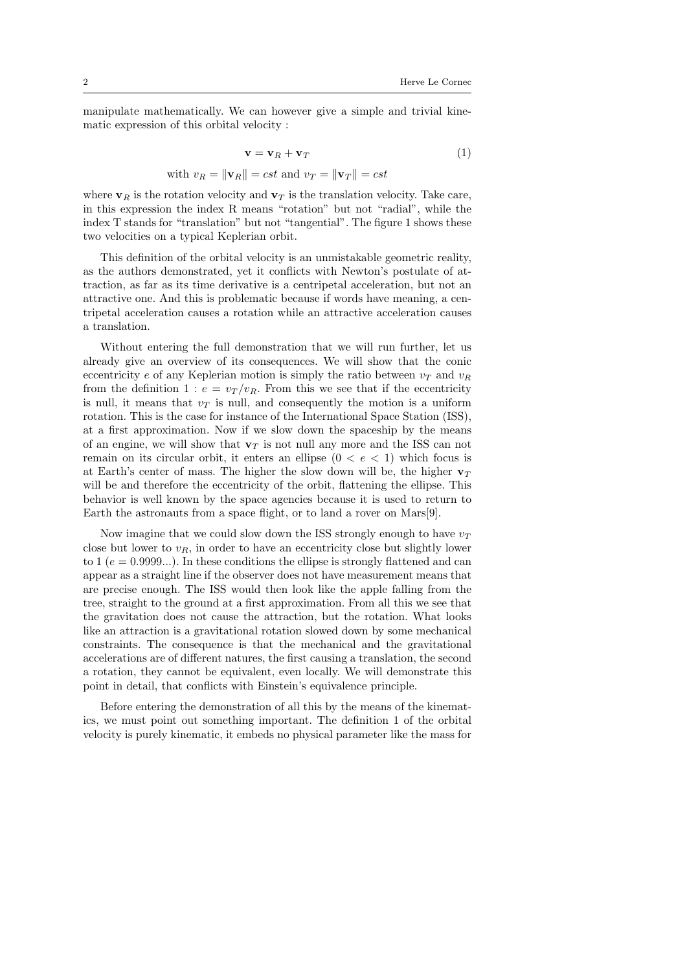manipulate mathematically. We can however give a simple and trivial kinematic expression of this orbital velocity :

$$
\mathbf{v} = \mathbf{v}_R + \mathbf{v}_T \tag{1}
$$

with 
$$
v_R = ||\mathbf{v}_R|| = cst
$$
 and  $v_T = ||\mathbf{v}_T|| = cst$ 

where  $\mathbf{v}_R$  is the rotation velocity and  $\mathbf{v}_T$  is the translation velocity. Take care, in this expression the index R means "rotation" but not "radial", while the index T stands for "translation" but not "tangential". The figure 1 shows these two velocities on a typical Keplerian orbit.

This definition of the orbital velocity is an unmistakable geometric reality, as the authors demonstrated, yet it conflicts with Newton's postulate of attraction, as far as its time derivative is a centripetal acceleration, but not an attractive one. And this is problematic because if words have meaning, a centripetal acceleration causes a rotation while an attractive acceleration causes a translation.

Without entering the full demonstration that we will run further, let us already give an overview of its consequences. We will show that the conic eccentricity e of any Keplerian motion is simply the ratio between  $v_T$  and  $v_R$ from the definition 1 :  $e = v_T/v_R$ . From this we see that if the eccentricity is null, it means that  $v<sub>T</sub>$  is null, and consequently the motion is a uniform rotation. This is the case for instance of the International Space Station (ISS), at a first approximation. Now if we slow down the spaceship by the means of an engine, we will show that  $\mathbf{v}_T$  is not null any more and the ISS can not remain on its circular orbit, it enters an ellipse  $(0 < e < 1)$  which focus is at Earth's center of mass. The higher the slow down will be, the higher  $v_T$ will be and therefore the eccentricity of the orbit, flattening the ellipse. This behavior is well known by the space agencies because it is used to return to Earth the astronauts from a space flight, or to land a rover on Mars[9].

Now imagine that we could slow down the ISS strongly enough to have  $v_T$ close but lower to  $v_R$ , in order to have an eccentricity close but slightly lower to 1 ( $e = 0.9999...$ ). In these conditions the ellipse is strongly flattened and can appear as a straight line if the observer does not have measurement means that are precise enough. The ISS would then look like the apple falling from the tree, straight to the ground at a first approximation. From all this we see that the gravitation does not cause the attraction, but the rotation. What looks like an attraction is a gravitational rotation slowed down by some mechanical constraints. The consequence is that the mechanical and the gravitational accelerations are of different natures, the first causing a translation, the second a rotation, they cannot be equivalent, even locally. We will demonstrate this point in detail, that conflicts with Einstein's equivalence principle.

Before entering the demonstration of all this by the means of the kinematics, we must point out something important. The definition 1 of the orbital velocity is purely kinematic, it embeds no physical parameter like the mass for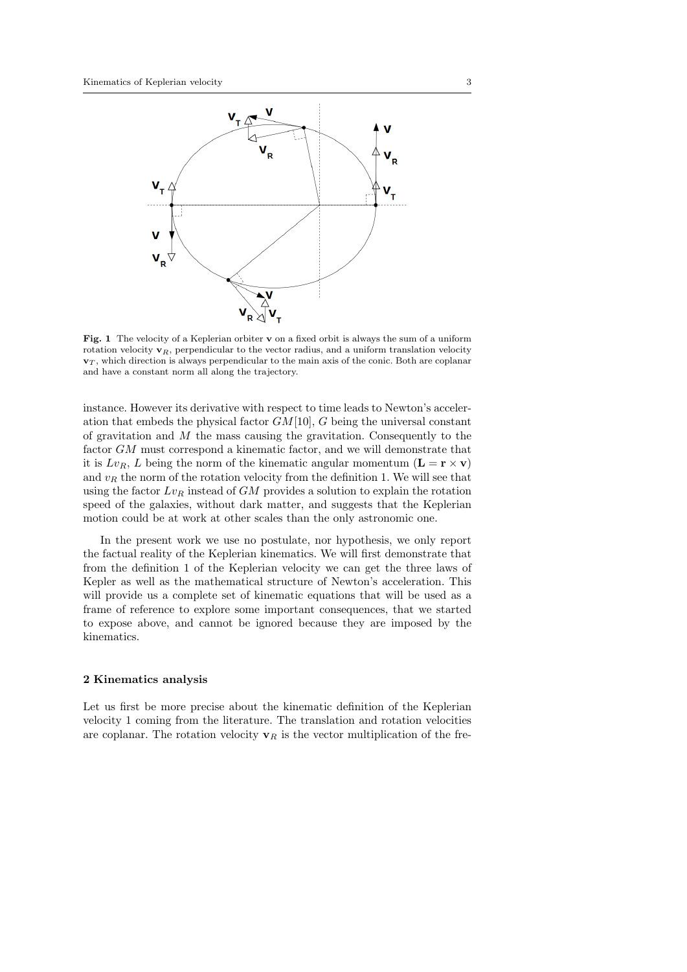

Fig. 1 The velocity of a Keplerian orbiter v on a fixed orbit is always the sum of a uniform rotation velocity  $\mathbf{v}_R$ , perpendicular to the vector radius, and a uniform translation velocity  $\mathbf{v}_T$ , which direction is always perpendicular to the main axis of the conic. Both are coplanar and have a constant norm all along the trajectory.

instance. However its derivative with respect to time leads to Newton's acceleration that embeds the physical factor  $GM[10]$ , G being the universal constant of gravitation and  $M$  the mass causing the gravitation. Consequently to the factor GM must correspond a kinematic factor, and we will demonstrate that it is  $Lv_R$ , L being the norm of the kinematic angular momentum  $(L = \mathbf{r} \times \mathbf{v})$ and  $v_R$  the norm of the rotation velocity from the definition 1. We will see that using the factor  $Lv_R$  instead of  $GM$  provides a solution to explain the rotation speed of the galaxies, without dark matter, and suggests that the Keplerian motion could be at work at other scales than the only astronomic one.

In the present work we use no postulate, nor hypothesis, we only report the factual reality of the Keplerian kinematics. We will first demonstrate that from the definition 1 of the Keplerian velocity we can get the three laws of Kepler as well as the mathematical structure of Newton's acceleration. This will provide us a complete set of kinematic equations that will be used as a frame of reference to explore some important consequences, that we started to expose above, and cannot be ignored because they are imposed by the kinematics.

#### 2 Kinematics analysis

Let us first be more precise about the kinematic definition of the Keplerian velocity 1 coming from the literature. The translation and rotation velocities are coplanar. The rotation velocity  $v_R$  is the vector multiplication of the fre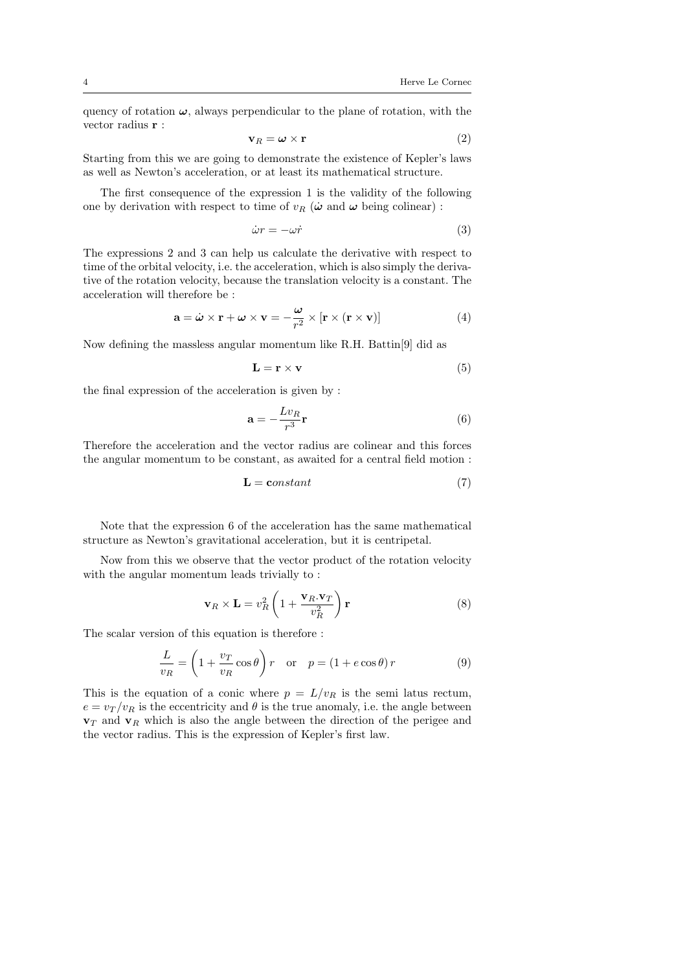quency of rotation  $\omega$ , always perpendicular to the plane of rotation, with the vector radius r :

$$
\mathbf{v}_R = \boldsymbol{\omega} \times \mathbf{r} \tag{2}
$$

Starting from this we are going to demonstrate the existence of Kepler's laws as well as Newton's acceleration, or at least its mathematical structure.

The first consequence of the expression 1 is the validity of the following one by derivation with respect to time of  $v_R$  ( $\dot{\omega}$  and  $\omega$  being colinear) :

$$
\dot{\omega}r = -\omega \dot{r} \tag{3}
$$

The expressions 2 and 3 can help us calculate the derivative with respect to time of the orbital velocity, i.e. the acceleration, which is also simply the derivative of the rotation velocity, because the translation velocity is a constant. The acceleration will therefore be :

$$
\mathbf{a} = \dot{\boldsymbol{\omega}} \times \mathbf{r} + \boldsymbol{\omega} \times \mathbf{v} = -\frac{\boldsymbol{\omega}}{r^2} \times [\mathbf{r} \times (\mathbf{r} \times \mathbf{v})]
$$
(4)

Now defining the massless angular momentum like R.H. Battin[9] did as

$$
\mathbf{L} = \mathbf{r} \times \mathbf{v} \tag{5}
$$

the final expression of the acceleration is given by :

$$
\mathbf{a} = -\frac{Lv_R}{r^3}\mathbf{r}
$$
 (6)

Therefore the acceleration and the vector radius are colinear and this forces the angular momentum to be constant, as awaited for a central field motion :

$$
\mathbf{L} = \mathbf{constant} \tag{7}
$$

Note that the expression 6 of the acceleration has the same mathematical structure as Newton's gravitational acceleration, but it is centripetal.

Now from this we observe that the vector product of the rotation velocity with the angular momentum leads trivially to :

$$
\mathbf{v}_R \times \mathbf{L} = v_R^2 \left( 1 + \frac{\mathbf{v}_R \cdot \mathbf{v}_T}{v_R^2} \right) \mathbf{r}
$$
 (8)

The scalar version of this equation is therefore :

$$
\frac{L}{v_R} = \left(1 + \frac{v_T}{v_R}\cos\theta\right)r \quad \text{or} \quad p = \left(1 + e\cos\theta\right)r \tag{9}
$$

This is the equation of a conic where  $p = L/v_R$  is the semi latus rectum,  $e = v_T/v_R$  is the eccentricity and  $\theta$  is the true anomaly, i.e. the angle between  $v_T$  and  $v_R$  which is also the angle between the direction of the perigee and the vector radius. This is the expression of Kepler's first law.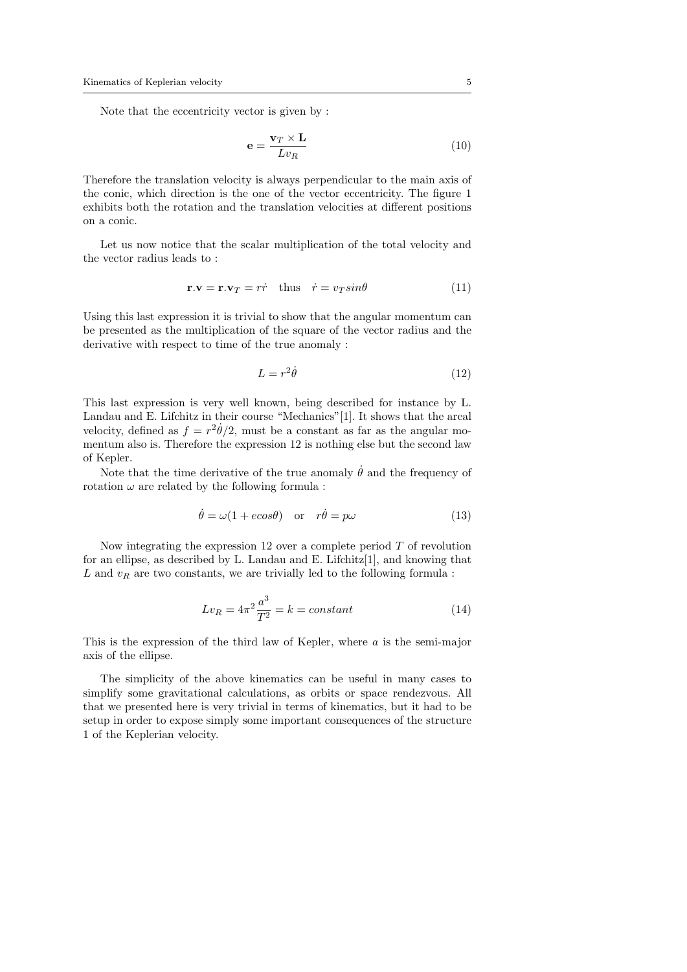Note that the eccentricity vector is given by :

$$
\mathbf{e} = \frac{\mathbf{v}_T \times \mathbf{L}}{L v_R} \tag{10}
$$

Therefore the translation velocity is always perpendicular to the main axis of the conic, which direction is the one of the vector eccentricity. The figure 1 exhibits both the rotation and the translation velocities at different positions on a conic.

Let us now notice that the scalar multiplication of the total velocity and the vector radius leads to :

$$
\mathbf{r}.\mathbf{v} = \mathbf{r}.\mathbf{v}_T = r\dot{r} \quad \text{thus} \quad \dot{r} = v_T \sin \theta \tag{11}
$$

Using this last expression it is trivial to show that the angular momentum can be presented as the multiplication of the square of the vector radius and the derivative with respect to time of the true anomaly :

$$
L = r^2 \dot{\theta} \tag{12}
$$

This last expression is very well known, being described for instance by L. Landau and E. Lifchitz in their course "Mechanics"[1]. It shows that the areal velocity, defined as  $f = r^2 \dot{\theta}/2$ , must be a constant as far as the angular momentum also is. Therefore the expression 12 is nothing else but the second law of Kepler.

Note that the time derivative of the true anomaly  $\dot{\theta}$  and the frequency of rotation  $\omega$  are related by the following formula :

$$
\dot{\theta} = \omega (1 + e \cos \theta) \quad \text{or} \quad r\dot{\theta} = p\omega \tag{13}
$$

Now integrating the expression 12 over a complete period  $T$  of revolution for an ellipse, as described by L. Landau and E. Lifchitz[1], and knowing that  $L$  and  $v_R$  are two constants, we are trivially led to the following formula :

$$
Lv_R = 4\pi^2 \frac{a^3}{T^2} = k = constant
$$
\n<sup>(14)</sup>

This is the expression of the third law of Kepler, where a is the semi-major axis of the ellipse.

The simplicity of the above kinematics can be useful in many cases to simplify some gravitational calculations, as orbits or space rendezvous. All that we presented here is very trivial in terms of kinematics, but it had to be setup in order to expose simply some important consequences of the structure 1 of the Keplerian velocity.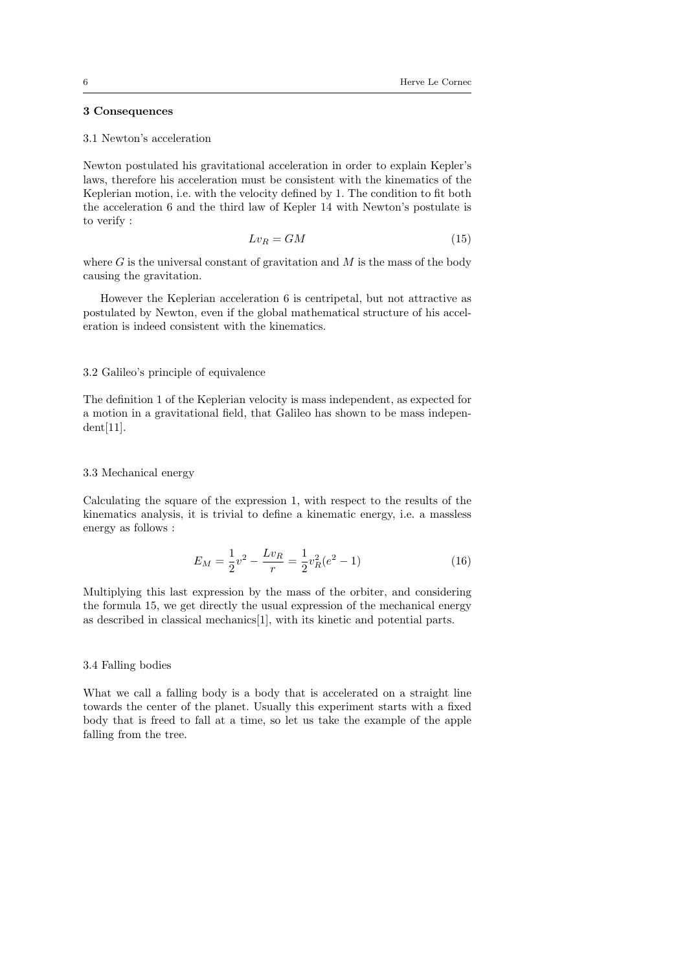# 3 Consequences

### 3.1 Newton's acceleration

Newton postulated his gravitational acceleration in order to explain Kepler's laws, therefore his acceleration must be consistent with the kinematics of the Keplerian motion, i.e. with the velocity defined by 1. The condition to fit both the acceleration 6 and the third law of Kepler 14 with Newton's postulate is to verify :

$$
Lv_R = GM \tag{15}
$$

where G is the universal constant of gravitation and  $M$  is the mass of the body causing the gravitation.

However the Keplerian acceleration 6 is centripetal, but not attractive as postulated by Newton, even if the global mathematical structure of his acceleration is indeed consistent with the kinematics.

### 3.2 Galileo's principle of equivalence

The definition 1 of the Keplerian velocity is mass independent, as expected for a motion in a gravitational field, that Galileo has shown to be mass independent[11].

## 3.3 Mechanical energy

Calculating the square of the expression 1, with respect to the results of the kinematics analysis, it is trivial to define a kinematic energy, i.e. a massless energy as follows :

$$
E_M = \frac{1}{2}v^2 - \frac{Lv_R}{r} = \frac{1}{2}v_R^2(e^2 - 1)
$$
\n(16)

Multiplying this last expression by the mass of the orbiter, and considering the formula 15, we get directly the usual expression of the mechanical energy as described in classical mechanics[1], with its kinetic and potential parts.

## 3.4 Falling bodies

What we call a falling body is a body that is accelerated on a straight line towards the center of the planet. Usually this experiment starts with a fixed body that is freed to fall at a time, so let us take the example of the apple falling from the tree.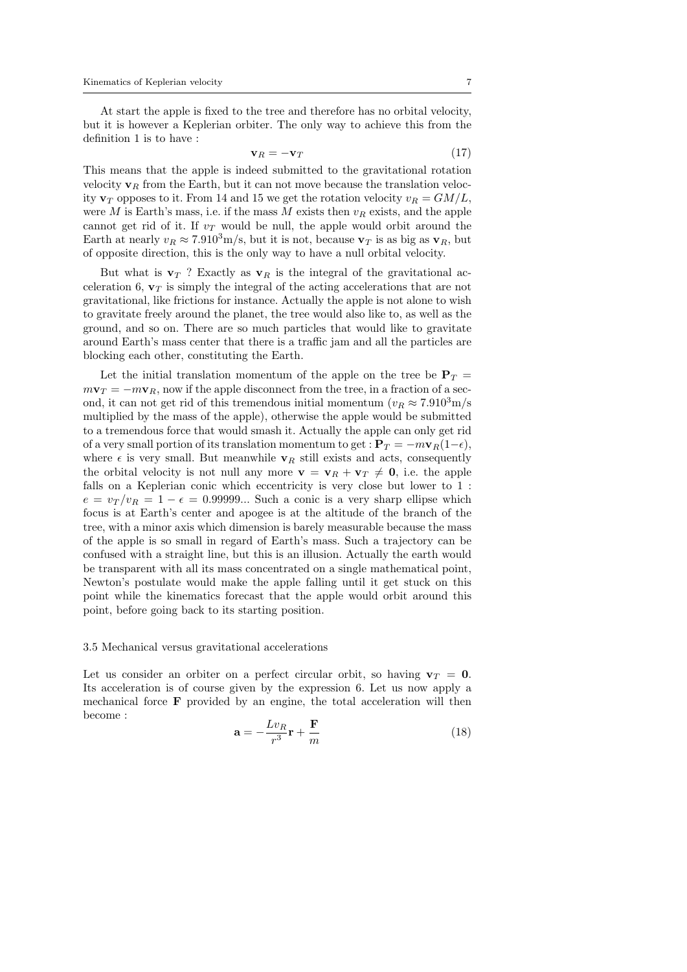At start the apple is fixed to the tree and therefore has no orbital velocity, but it is however a Keplerian orbiter. The only way to achieve this from the definition 1 is to have :

$$
\mathbf{v}_R = -\mathbf{v}_T \tag{17}
$$

This means that the apple is indeed submitted to the gravitational rotation velocity  $v_R$  from the Earth, but it can not move because the translation velocity  $\mathbf{v}_T$  opposes to it. From 14 and 15 we get the rotation velocity  $v_R = GM/L$ , were M is Earth's mass, i.e. if the mass M exists then  $v_R$  exists, and the apple cannot get rid of it. If  $v<sub>T</sub>$  would be null, the apple would orbit around the Earth at nearly  $v_R \approx 7.910^3$ m/s, but it is not, because  $v_T$  is as big as  $v_R$ , but of opposite direction, this is the only way to have a null orbital velocity.

But what is  $\mathbf{v}_T$ ? Exactly as  $\mathbf{v}_R$  is the integral of the gravitational acceleration 6,  $v_T$  is simply the integral of the acting accelerations that are not gravitational, like frictions for instance. Actually the apple is not alone to wish to gravitate freely around the planet, the tree would also like to, as well as the ground, and so on. There are so much particles that would like to gravitate around Earth's mass center that there is a traffic jam and all the particles are blocking each other, constituting the Earth.

Let the initial translation momentum of the apple on the tree be  $P_T =$  $m\mathbf{v}_T = -m\mathbf{v}_R$ , now if the apple disconnect from the tree, in a fraction of a second, it can not get rid of this tremendous initial momentum  $(v_R \approx 7.910^3 \text{m/s})$ multiplied by the mass of the apple), otherwise the apple would be submitted to a tremendous force that would smash it. Actually the apple can only get rid of a very small portion of its translation momentum to get :  $P_T = -m\mathbf{v}_R(1-\epsilon)$ , where  $\epsilon$  is very small. But meanwhile  $\mathbf{v}_R$  still exists and acts, consequently the orbital velocity is not null any more  $\mathbf{v} = \mathbf{v}_R + \mathbf{v}_T \neq \mathbf{0}$ , i.e. the apple falls on a Keplerian conic which eccentricity is very close but lower to 1 :  $e = v_T/v_R = 1 - \epsilon = 0.99999...$  Such a conic is a very sharp ellipse which focus is at Earth's center and apogee is at the altitude of the branch of the tree, with a minor axis which dimension is barely measurable because the mass of the apple is so small in regard of Earth's mass. Such a trajectory can be confused with a straight line, but this is an illusion. Actually the earth would be transparent with all its mass concentrated on a single mathematical point, Newton's postulate would make the apple falling until it get stuck on this point while the kinematics forecast that the apple would orbit around this point, before going back to its starting position.

#### 3.5 Mechanical versus gravitational accelerations

Let us consider an orbiter on a perfect circular orbit, so having  $\mathbf{v}_T = \mathbf{0}$ . Its acceleration is of course given by the expression 6. Let us now apply a mechanical force F provided by an engine, the total acceleration will then become :

$$
\mathbf{a} = -\frac{Lv_R}{r^3}\mathbf{r} + \frac{\mathbf{F}}{m} \tag{18}
$$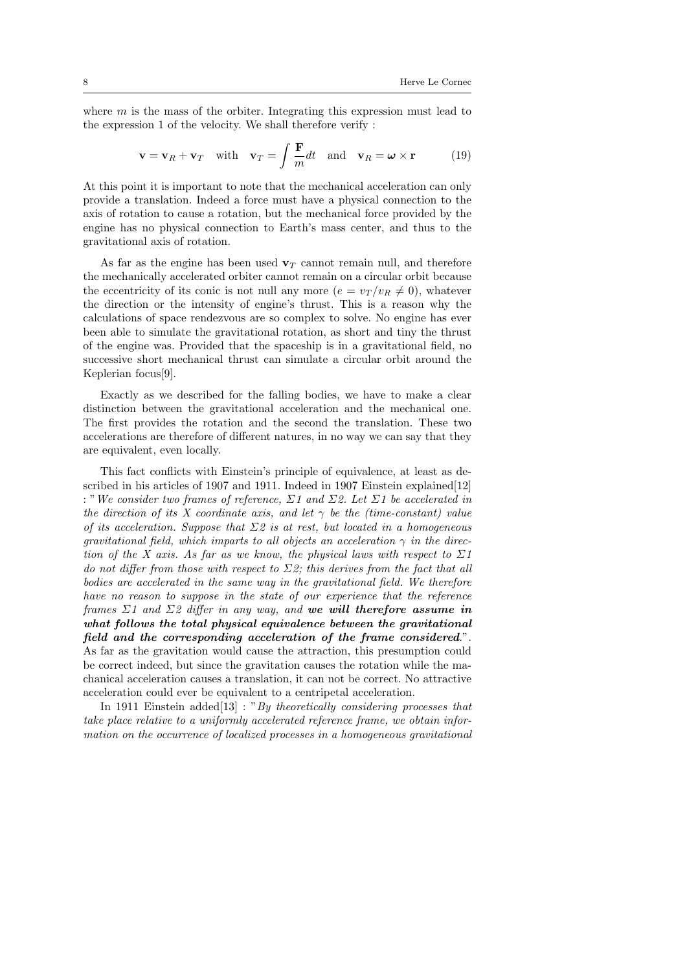where  $m$  is the mass of the orbiter. Integrating this expression must lead to the expression 1 of the velocity. We shall therefore verify :

$$
\mathbf{v} = \mathbf{v}_R + \mathbf{v}_T \quad \text{with} \quad \mathbf{v}_T = \int \frac{\mathbf{F}}{m} dt \quad \text{and} \quad \mathbf{v}_R = \boldsymbol{\omega} \times \mathbf{r} \tag{19}
$$

At this point it is important to note that the mechanical acceleration can only provide a translation. Indeed a force must have a physical connection to the axis of rotation to cause a rotation, but the mechanical force provided by the engine has no physical connection to Earth's mass center, and thus to the gravitational axis of rotation.

As far as the engine has been used  $\mathbf{v}_T$  cannot remain null, and therefore the mechanically accelerated orbiter cannot remain on a circular orbit because the eccentricity of its conic is not null any more  $(e = v_T/v_R \neq 0)$ , whatever the direction or the intensity of engine's thrust. This is a reason why the calculations of space rendezvous are so complex to solve. No engine has ever been able to simulate the gravitational rotation, as short and tiny the thrust of the engine was. Provided that the spaceship is in a gravitational field, no successive short mechanical thrust can simulate a circular orbit around the Keplerian focus[9].

Exactly as we described for the falling bodies, we have to make a clear distinction between the gravitational acceleration and the mechanical one. The first provides the rotation and the second the translation. These two accelerations are therefore of different natures, in no way we can say that they are equivalent, even locally.

This fact conflicts with Einstein's principle of equivalence, at least as described in his articles of 1907 and 1911. Indeed in 1907 Einstein explained [12] : "We consider two frames of reference,  $\Sigma 1$  and  $\Sigma 2$ . Let  $\Sigma 1$  be accelerated in the direction of its X coordinate axis, and let  $\gamma$  be the (time-constant) value of its acceleration. Suppose that  $\Sigma$ 2 is at rest, but located in a homogeneous gravitational field, which imparts to all objects an acceleration  $\gamma$  in the direction of the X axis. As far as we know, the physical laws with respect to  $\Sigma 1$ do not differ from those with respect to  $\Sigma$ 2; this derives from the fact that all bodies are accelerated in the same way in the gravitational field. We therefore have no reason to suppose in the state of our experience that the reference frames  $\Sigma$ 1 and  $\Sigma$ 2 differ in any way, and we will therefore assume in what follows the total physical equivalence between the gravitational field and the corresponding acceleration of the frame considered.". As far as the gravitation would cause the attraction, this presumption could be correct indeed, but since the gravitation causes the rotation while the machanical acceleration causes a translation, it can not be correct. No attractive acceleration could ever be equivalent to a centripetal acceleration.

In 1911 Einstein added $[13]$ : "By theoretically considering processes that take place relative to a uniformly accelerated reference frame, we obtain information on the occurrence of localized processes in a homogeneous gravitational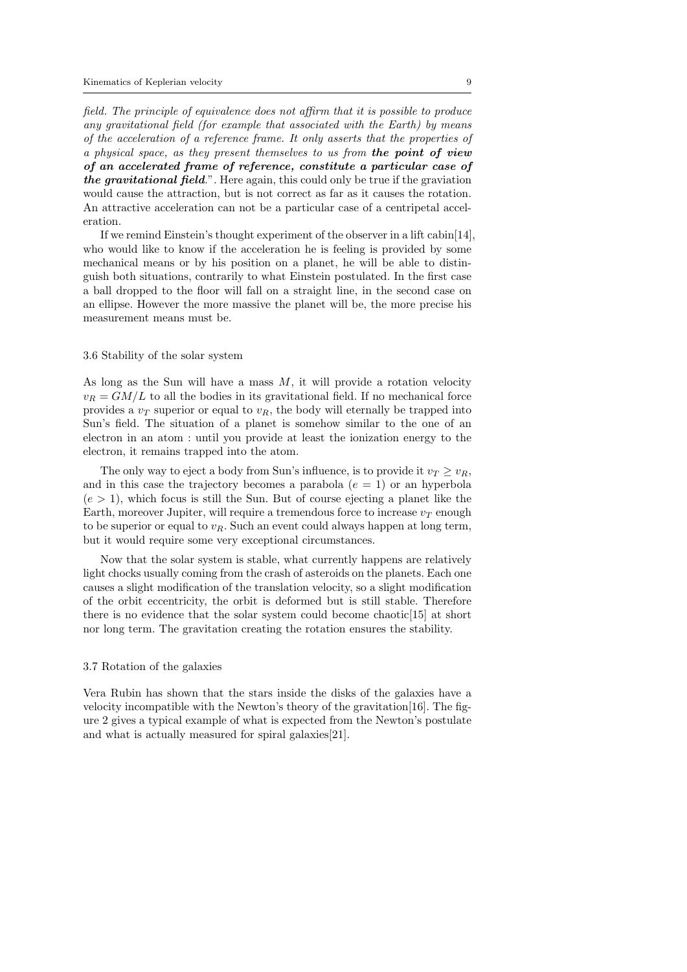field. The principle of equivalence does not affirm that it is possible to produce any gravitational field (for example that associated with the Earth) by means of the acceleration of a reference frame. It only asserts that the properties of a physical space, as they present themselves to us from the point of view of an accelerated frame of reference, constitute a particular case of the gravitational field.". Here again, this could only be true if the graviation would cause the attraction, but is not correct as far as it causes the rotation. An attractive acceleration can not be a particular case of a centripetal acceleration.

If we remind Einstein's thought experiment of the observer in a lift cabin[14], who would like to know if the acceleration he is feeling is provided by some mechanical means or by his position on a planet, he will be able to distinguish both situations, contrarily to what Einstein postulated. In the first case a ball dropped to the floor will fall on a straight line, in the second case on an ellipse. However the more massive the planet will be, the more precise his measurement means must be.

#### 3.6 Stability of the solar system

As long as the Sun will have a mass  $M$ , it will provide a rotation velocity  $v_R = GM/L$  to all the bodies in its gravitational field. If no mechanical force provides a  $v_T$  superior or equal to  $v_R$ , the body will eternally be trapped into Sun's field. The situation of a planet is somehow similar to the one of an electron in an atom : until you provide at least the ionization energy to the electron, it remains trapped into the atom.

The only way to eject a body from Sun's influence, is to provide it  $v_T \geq v_R$ , and in this case the trajectory becomes a parabola  $(e = 1)$  or an hyperbola  $(e > 1)$ , which focus is still the Sun. But of course ejecting a planet like the Earth, moreover Jupiter, will require a tremendous force to increase  $v_T$  enough to be superior or equal to  $v_R$ . Such an event could always happen at long term, but it would require some very exceptional circumstances.

Now that the solar system is stable, what currently happens are relatively light chocks usually coming from the crash of asteroids on the planets. Each one causes a slight modification of the translation velocity, so a slight modification of the orbit eccentricity, the orbit is deformed but is still stable. Therefore there is no evidence that the solar system could become chaotic[15] at short nor long term. The gravitation creating the rotation ensures the stability.

#### 3.7 Rotation of the galaxies

Vera Rubin has shown that the stars inside the disks of the galaxies have a velocity incompatible with the Newton's theory of the gravitation[16]. The figure 2 gives a typical example of what is expected from the Newton's postulate and what is actually measured for spiral galaxies[21].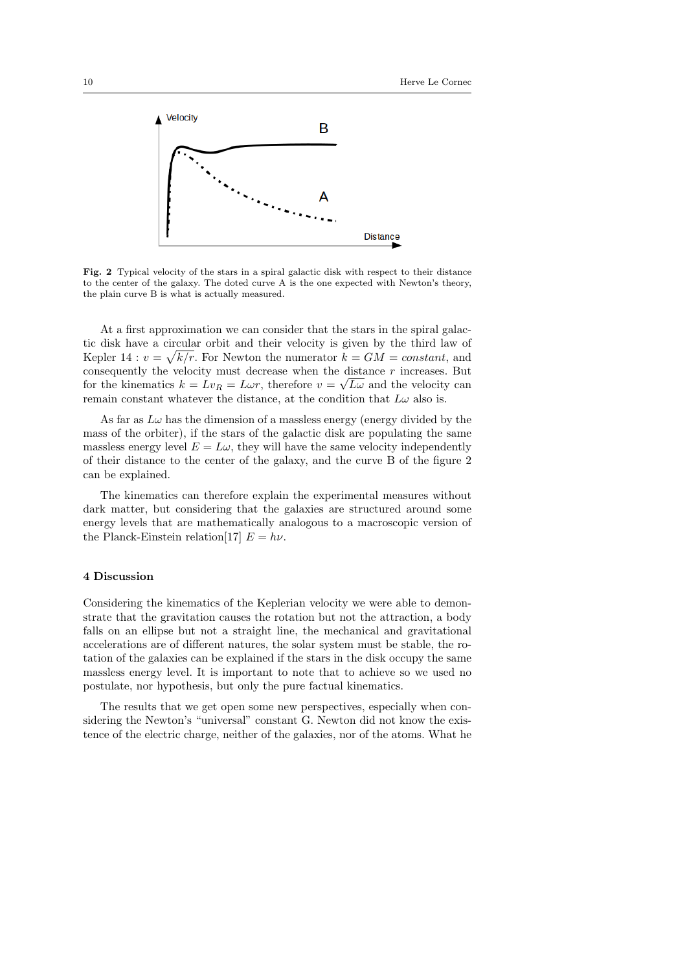

Fig. 2 Typical velocity of the stars in a spiral galactic disk with respect to their distance to the center of the galaxy. The doted curve A is the one expected with Newton's theory, the plain curve B is what is actually measured.

At a first approximation we can consider that the stars in the spiral galactic disk have a circular orbit and their velocity is given by the third law of Kepler 14 :  $v = \sqrt{k/r}$ . For Newton the numerator  $k = GM = constant$ , and consequently the velocity must decrease when the distance r increases. But for the kinematics  $k = Lv_R = L\omega r$ , therefore  $v = \sqrt{L\omega}$  and the velocity can remain constant whatever the distance, at the condition that  $L\omega$  also is.

As far as  $L\omega$  has the dimension of a massless energy (energy divided by the mass of the orbiter), if the stars of the galactic disk are populating the same massless energy level  $E = L\omega$ , they will have the same velocity independently of their distance to the center of the galaxy, and the curve B of the figure 2 can be explained.

The kinematics can therefore explain the experimental measures without dark matter, but considering that the galaxies are structured around some energy levels that are mathematically analogous to a macroscopic version of the Planck-Einstein relation[17]  $E = h\nu$ .

## 4 Discussion

Considering the kinematics of the Keplerian velocity we were able to demonstrate that the gravitation causes the rotation but not the attraction, a body falls on an ellipse but not a straight line, the mechanical and gravitational accelerations are of different natures, the solar system must be stable, the rotation of the galaxies can be explained if the stars in the disk occupy the same massless energy level. It is important to note that to achieve so we used no postulate, nor hypothesis, but only the pure factual kinematics.

The results that we get open some new perspectives, especially when considering the Newton's "universal" constant G. Newton did not know the existence of the electric charge, neither of the galaxies, nor of the atoms. What he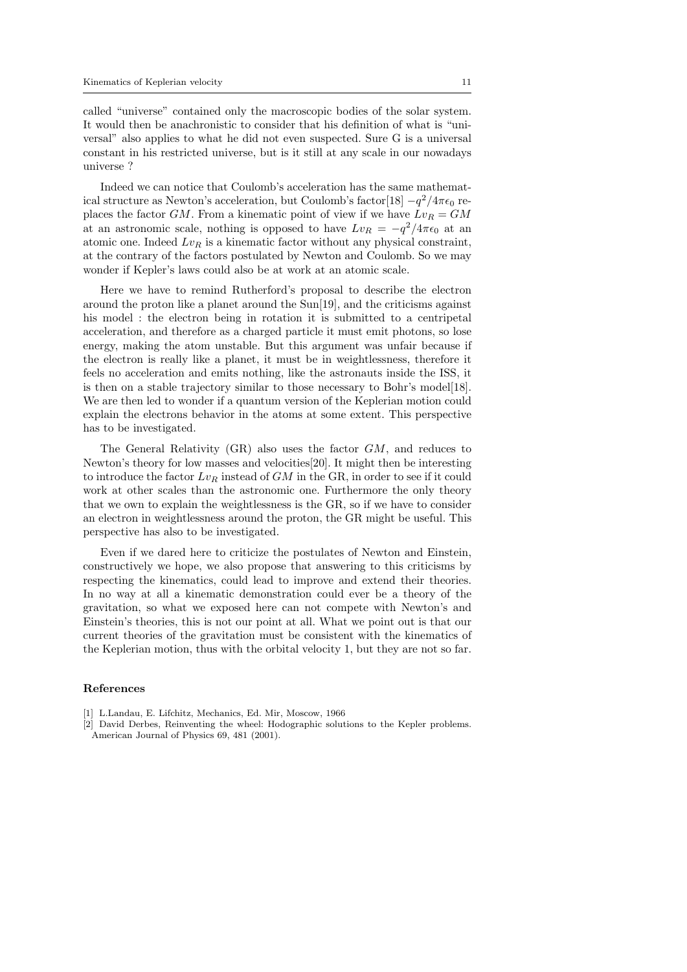called "universe" contained only the macroscopic bodies of the solar system. It would then be anachronistic to consider that his definition of what is "universal" also applies to what he did not even suspected. Sure G is a universal constant in his restricted universe, but is it still at any scale in our nowadays universe ?

Indeed we can notice that Coulomb's acceleration has the same mathematical structure as Newton's acceleration, but Coulomb's factor[18]  $-q^2/4\pi\epsilon_0$  replaces the factor GM. From a kinematic point of view if we have  $Lv_R = GM$ at an astronomic scale, nothing is opposed to have  $Lv_R = -q^2/4\pi\epsilon_0$  at an atomic one. Indeed  $Lv_R$  is a kinematic factor without any physical constraint, at the contrary of the factors postulated by Newton and Coulomb. So we may wonder if Kepler's laws could also be at work at an atomic scale.

Here we have to remind Rutherford's proposal to describe the electron around the proton like a planet around the Sun[19], and the criticisms against his model : the electron being in rotation it is submitted to a centripetal acceleration, and therefore as a charged particle it must emit photons, so lose energy, making the atom unstable. But this argument was unfair because if the electron is really like a planet, it must be in weightlessness, therefore it feels no acceleration and emits nothing, like the astronauts inside the ISS, it is then on a stable trajectory similar to those necessary to Bohr's model[18]. We are then led to wonder if a quantum version of the Keplerian motion could explain the electrons behavior in the atoms at some extent. This perspective has to be investigated.

The General Relativity (GR) also uses the factor GM, and reduces to Newton's theory for low masses and velocities[20]. It might then be interesting to introduce the factor  $Lv_R$  instead of  $GM$  in the GR, in order to see if it could work at other scales than the astronomic one. Furthermore the only theory that we own to explain the weightlessness is the GR, so if we have to consider an electron in weightlessness around the proton, the GR might be useful. This perspective has also to be investigated.

Even if we dared here to criticize the postulates of Newton and Einstein, constructively we hope, we also propose that answering to this criticisms by respecting the kinematics, could lead to improve and extend their theories. In no way at all a kinematic demonstration could ever be a theory of the gravitation, so what we exposed here can not compete with Newton's and Einstein's theories, this is not our point at all. What we point out is that our current theories of the gravitation must be consistent with the kinematics of the Keplerian motion, thus with the orbital velocity 1, but they are not so far.

#### References

- [1] L.Landau, E. Lifchitz, Mechanics, Ed. Mir, Moscow, 1966
- [2] David Derbes, Reinventing the wheel: Hodographic solutions to the Kepler problems. American Journal of Physics 69, 481 (2001).